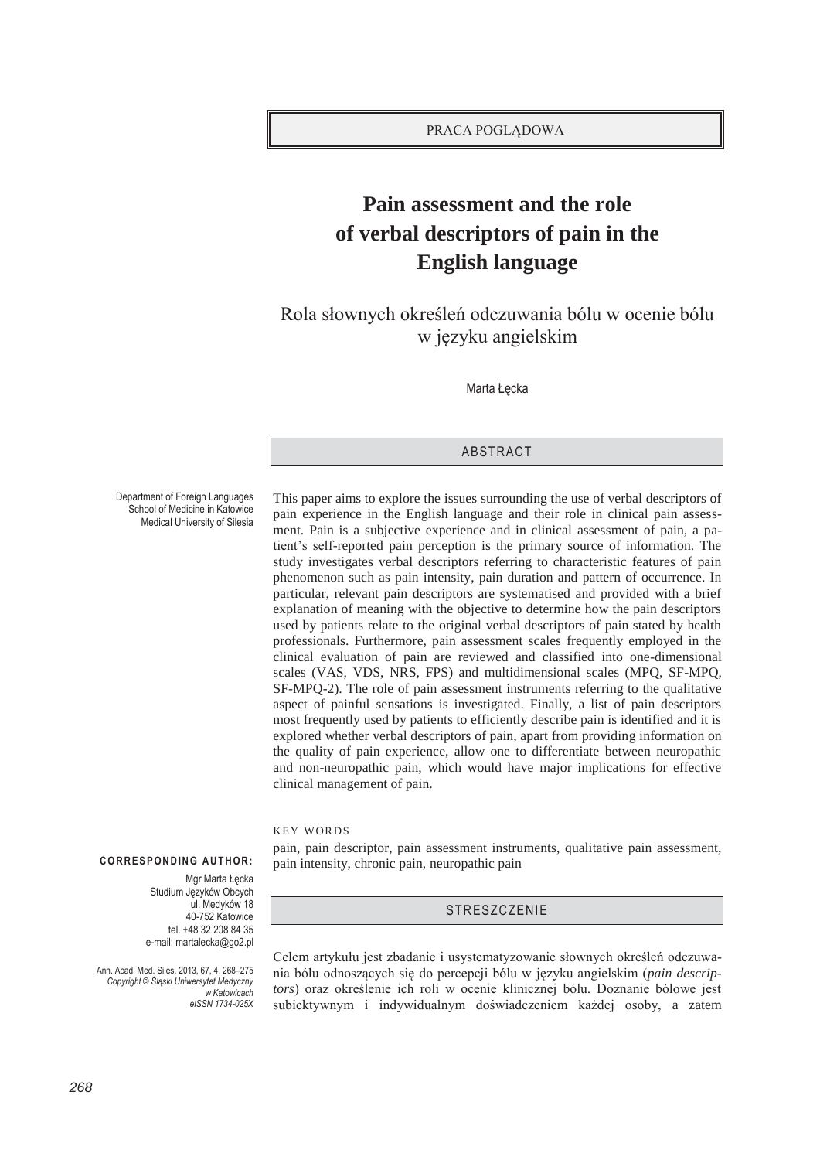# **Pain assessment and the role of verbal descriptors of pain in the English language**

Rola słownych określeń odczuwania bólu w ocenie bólu w języku angielskim

Marta Łęcka

## ABSTRACT

Department of Foreign Languages School of Medicine in Katowice Medical University of Silesia

This paper aims to explore the issues surrounding the use of verbal descriptors of pain experience in the English language and their role in clinical pain assessment. Pain is a subjective experience and in clinical assessment of pain, a patient's self-reported pain perception is the primary source of information. The study investigates verbal descriptors referring to characteristic features of pain phenomenon such as pain intensity, pain duration and pattern of occurrence. In particular, relevant pain descriptors are systematised and provided with a brief explanation of meaning with the objective to determine how the pain descriptors used by patients relate to the original verbal descriptors of pain stated by health professionals. Furthermore, pain assessment scales frequently employed in the clinical evaluation of pain are reviewed and classified into one-dimensional scales (VAS, VDS, NRS, FPS) and multidimensional scales (MPQ, SF-MPQ, SF-MPQ-2). The role of pain assessment instruments referring to the qualitative aspect of painful sensations is investigated. Finally, a list of pain descriptors most frequently used by patients to efficiently describe pain is identified and it is explored whether verbal descriptors of pain, apart from providing information on the quality of pain experience, allow one to differentiate between neuropathic and non-neuropathic pain, which would have major implications for effective clinical management of pain.

KEY WORDS

pain, pain descriptor, pain assessment instruments, qualitative pain assessment, pain intensity, chronic pain, neuropathic pain

**STRESZCZENIE** 

## **CORRESPONDING AUTHOR:**

Mgr Marta Łęcka Studium Języków Obcych ul. Medyków 18 40-752 Katowice tel. +48 32 208 84 35 e-mail: martalecka@go2.pl

Ann. Acad. Med. Siles. 2013, 67, 4, 268–275 *Copyright © Śląski Uniwersytet Medyczny w Katowicach eISSN 1734-025X*  Celem artykułu jest zbadanie i usystematyzowanie słownych określeń odczuwania bólu odnoszących się do percepcji bólu w języku angielskim (*pain descriptors*) oraz określenie ich roli w ocenie klinicznej bólu. Doznanie bólowe jest subiektywnym i indywidualnym doświadczeniem każdej osoby, a zatem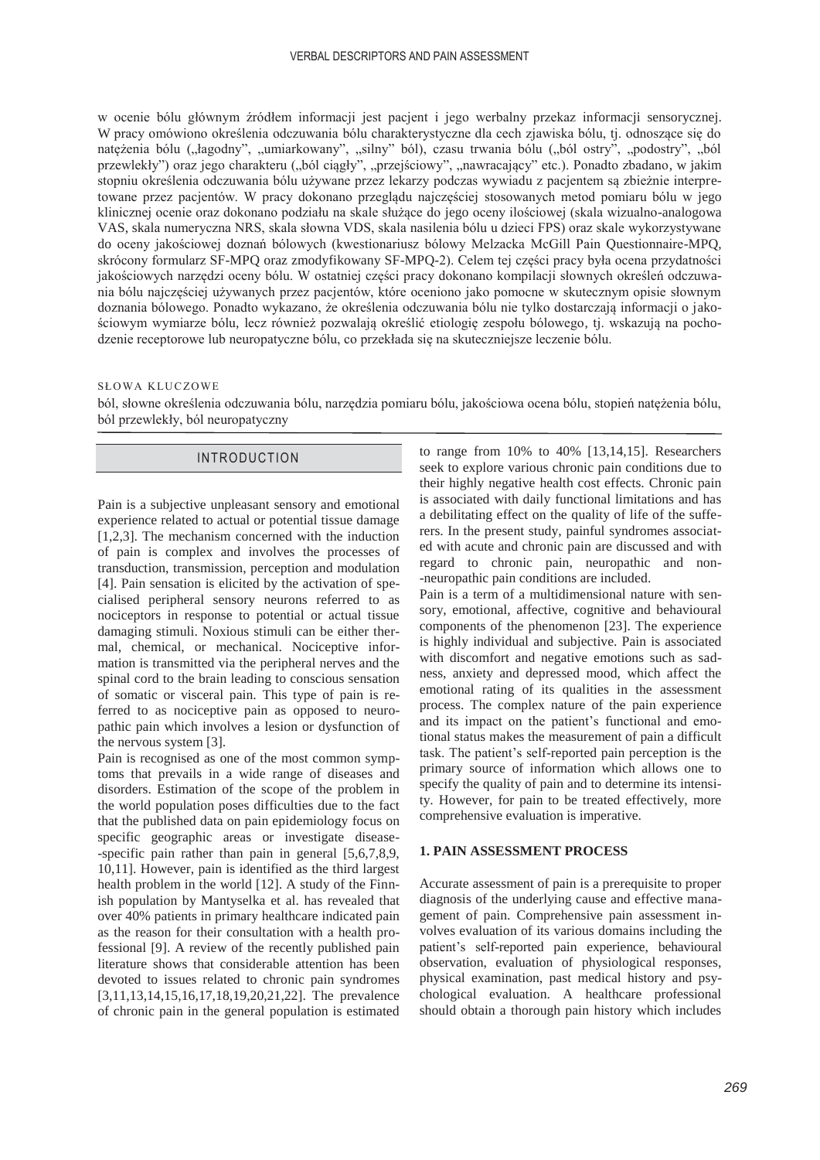w ocenie bólu głównym źródłem informacji jest pacjent i jego werbalny przekaz informacji sensorycznej. W pracy omówiono określenia odczuwania bólu charakterystyczne dla cech zjawiska bólu, tj. odnoszące się do natężenia bólu ("łagodny", "umiarkowany", "silny" ból), czasu trwania bólu ("ból ostry", "podostry", "ból przewlekły") oraz jego charakteru ("ból ciągły", "przejściowy", "nawracający" etc.). Ponadto zbadano, w jakim stopniu określenia odczuwania bólu używane przez lekarzy podczas wywiadu z pacjentem są zbieżnie interpretowane przez pacjentów. W pracy dokonano przeglądu najczęściej stosowanych metod pomiaru bólu w jego klinicznej ocenie oraz dokonano podziału na skale służące do jego oceny ilościowej (skala wizualno-analogowa VAS, skala numeryczna NRS, skala słowna VDS, skala nasilenia bólu u dzieci FPS) oraz skale wykorzystywane do oceny jakościowej doznań bólowych (kwestionariusz bólowy Melzacka McGill Pain Questionnaire-MPQ, skrócony formularz SF-MPQ oraz zmodyfikowany SF-MPQ-2). Celem tej części pracy była ocena przydatności jakościowych narzędzi oceny bólu. W ostatniej części pracy dokonano kompilacji słownych określeń odczuwania bólu najczęściej używanych przez pacjentów, które oceniono jako pomocne w skutecznym opisie słownym doznania bólowego. Ponadto wykazano, że określenia odczuwania bólu nie tylko dostarczają informacji o jakościowym wymiarze bólu, lecz również pozwalają określić etiologię zespołu bólowego, tj. wskazują na pochodzenie receptorowe lub neuropatyczne bólu, co przekłada się na skuteczniejsze leczenie bólu.

#### SŁOWA KLUCZOWE

ból, słowne określenia odczuwania bólu, narzędzia pomiaru bólu, jakościowa ocena bólu, stopień natężenia bólu, ból przewlekły, ból neuropatyczny

## INTRODUCTION

Pain is a subjective unpleasant sensory and emotional experience related to actual or potential tissue damage [1,2,3]. The mechanism concerned with the induction of pain is complex and involves the processes of transduction, transmission, perception and modulation [4]. Pain sensation is elicited by the activation of specialised peripheral sensory neurons referred to as nociceptors in response to potential or actual tissue damaging stimuli. Noxious stimuli can be either thermal, chemical, or mechanical. Nociceptive information is transmitted via the peripheral nerves and the spinal cord to the brain leading to conscious sensation of somatic or visceral pain. This type of pain is referred to as nociceptive pain as opposed to neuropathic pain which involves a lesion or dysfunction of the nervous system [3].

Pain is recognised as one of the most common symptoms that prevails in a wide range of diseases and disorders. Estimation of the scope of the problem in the world population poses difficulties due to the fact that the published data on pain epidemiology focus on specific geographic areas or investigate disease- -specific pain rather than pain in general [5,6,7,8,9, 10,11]. However, pain is identified as the third largest health problem in the world [12]. A study of the Finnish population by Mantyselka et al. has revealed that over 40% patients in primary healthcare indicated pain as the reason for their consultation with a health professional [9]. A review of the recently published pain literature shows that considerable attention has been devoted to issues related to chronic pain syndromes [3,11,13,14,15,16,17,18,19,20,21,22]. The prevalence of chronic pain in the general population is estimated

to range from 10% to 40% [13,14,15]. Researchers seek to explore various chronic pain conditions due to their highly negative health cost effects. Chronic pain is associated with daily functional limitations and has a debilitating effect on the quality of life of the sufferers. In the present study, painful syndromes associated with acute and chronic pain are discussed and with regard to chronic pain, neuropathic and non- -neuropathic pain conditions are included.

Pain is a term of a multidimensional nature with sensory, emotional, affective, cognitive and behavioural components of the phenomenon [23]. The experience is highly individual and subjective. Pain is associated with discomfort and negative emotions such as sadness, anxiety and depressed mood, which affect the emotional rating of its qualities in the assessment process. The complex nature of the pain experience and its impact on the patient's functional and emotional status makes the measurement of pain a difficult task. The patient's self-reported pain perception is the primary source of information which allows one to specify the quality of pain and to determine its intensity. However, for pain to be treated effectively, more comprehensive evaluation is imperative.

## **1. PAIN ASSESSMENT PROCESS**

Accurate assessment of pain is a prerequisite to proper diagnosis of the underlying cause and effective management of pain. Comprehensive pain assessment involves evaluation of its various domains including the patient's self-reported pain experience, behavioural observation, evaluation of physiological responses, physical examination, past medical history and psychological evaluation. A healthcare professional should obtain a thorough pain history which includes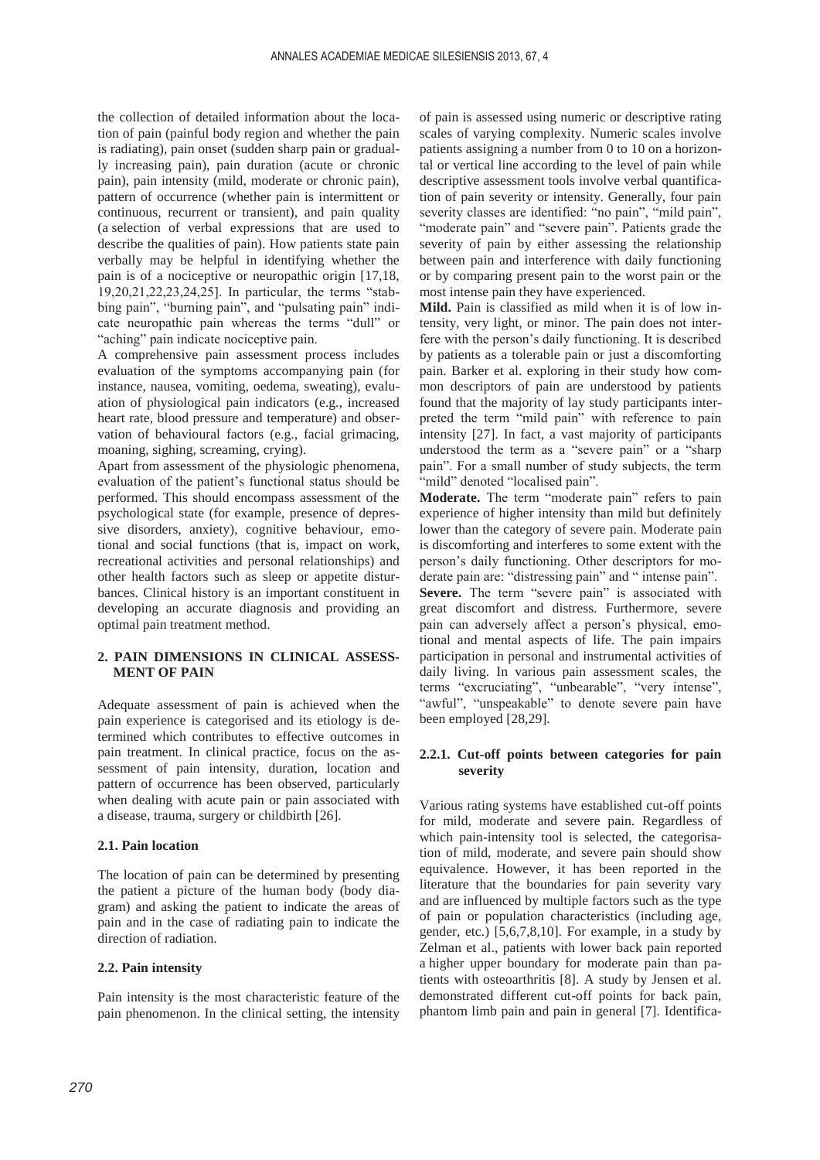the collection of detailed information about the location of pain (painful body region and whether the pain is radiating), pain onset (sudden sharp pain or gradually increasing pain), pain duration (acute or chronic pain), pain intensity (mild, moderate or chronic pain), pattern of occurrence (whether pain is intermittent or continuous, recurrent or transient), and pain quality (a selection of verbal expressions that are used to describe the qualities of pain). How patients state pain verbally may be helpful in identifying whether the pain is of a nociceptive or neuropathic origin [17,18, 19,20,21,22,23,24,25]. In particular, the terms "stabbing pain", "burning pain", and "pulsating pain" indicate neuropathic pain whereas the terms "dull" or "aching" pain indicate nociceptive pain.

A comprehensive pain assessment process includes evaluation of the symptoms accompanying pain (for instance, nausea, vomiting, oedema, sweating), evaluation of physiological pain indicators (e.g., increased heart rate, blood pressure and temperature) and observation of behavioural factors (e.g., facial grimacing, moaning, sighing, screaming, crying).

Apart from assessment of the physiologic phenomena, evaluation of the patient's functional status should be performed. This should encompass assessment of the psychological state (for example, presence of depressive disorders, anxiety), cognitive behaviour, emotional and social functions (that is, impact on work, recreational activities and personal relationships) and other health factors such as sleep or appetite disturbances. Clinical history is an important constituent in developing an accurate diagnosis and providing an optimal pain treatment method.

# **2. PAIN DIMENSIONS IN CLINICAL ASSESS-MENT OF PAIN**

Adequate assessment of pain is achieved when the pain experience is categorised and its etiology is determined which contributes to effective outcomes in pain treatment. In clinical practice, focus on the assessment of pain intensity, duration, location and pattern of occurrence has been observed, particularly when dealing with acute pain or pain associated with a disease, trauma, surgery or childbirth [26].

## **2.1. Pain location**

The location of pain can be determined by presenting the patient a picture of the human body (body diagram) and asking the patient to indicate the areas of pain and in the case of radiating pain to indicate the direction of radiation.

## **2.2. Pain intensity**

Pain intensity is the most characteristic feature of the pain phenomenon. In the clinical setting, the intensity

of pain is assessed using numeric or descriptive rating scales of varying complexity. Numeric scales involve patients assigning a number from 0 to 10 on a horizontal or vertical line according to the level of pain while descriptive assessment tools involve verbal quantification of pain severity or intensity. Generally, four pain severity classes are identified: "no pain", "mild pain", "moderate pain" and "severe pain". Patients grade the severity of pain by either assessing the relationship between pain and interference with daily functioning or by comparing present pain to the worst pain or the most intense pain they have experienced.

**Mild.** Pain is classified as mild when it is of low intensity, very light, or minor. The pain does not interfere with the person's daily functioning. It is described by patients as a tolerable pain or just a discomforting pain. Barker et al. exploring in their study how common descriptors of pain are understood by patients found that the majority of lay study participants interpreted the term "mild pain" with reference to pain intensity [27]. In fact, a vast majority of participants understood the term as a "severe pain" or a "sharp pain". For a small number of study subjects, the term "mild" denoted "localised pain".

**Moderate.** The term "moderate pain" refers to pain experience of higher intensity than mild but definitely lower than the category of severe pain. Moderate pain is discomforting and interferes to some extent with the person's daily functioning. Other descriptors for moderate pain are: "distressing pain" and " intense pain". Severe. The term "severe pain" is associated with great discomfort and distress. Furthermore, severe pain can adversely affect a person's physical, emotional and mental aspects of life. The pain impairs participation in personal and instrumental activities of daily living. In various pain assessment scales, the terms "excruciating", "unbearable", "very intense", "awful", "unspeakable" to denote severe pain have been employed [28,29].

## **2.2.1. Cut-off points between categories for pain severity**

Various rating systems have established cut-off points for mild, moderate and severe pain. Regardless of which pain-intensity tool is selected, the categorisation of mild, moderate, and severe pain should show equivalence. However, it has been reported in the literature that the boundaries for pain severity vary and are influenced by multiple factors such as the type of pain or population characteristics (including age, gender, etc.) [5,6,7,8,10]. For example, in a study by Zelman et al., patients with lower back pain reported a higher upper boundary for moderate pain than patients with osteoarthritis [8]. A study by Jensen et al. demonstrated different cut-off points for back pain, phantom limb pain and pain in general [7]. Identifica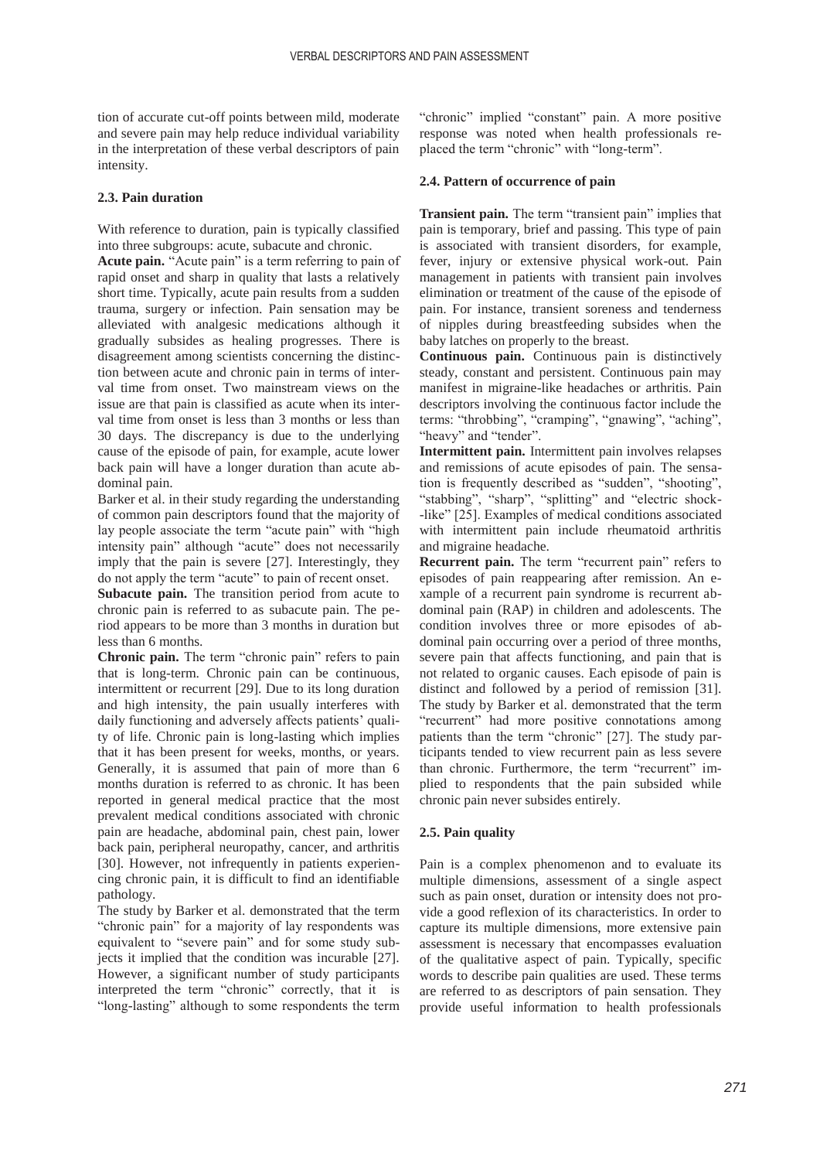tion of accurate cut-off points between mild, moderate and severe pain may help reduce individual variability in the interpretation of these verbal descriptors of pain intensity.

## **2.3. Pain duration**

With reference to duration, pain is typically classified into three subgroups: acute, subacute and chronic.

**Acute pain.** "Acute pain" is a term referring to pain of rapid onset and sharp in quality that lasts a relatively short time. Typically, acute pain results from a sudden trauma, surgery or infection. Pain sensation may be alleviated with analgesic medications although it gradually subsides as healing progresses. There is disagreement among scientists concerning the distinction between acute and chronic pain in terms of interval time from onset. Two mainstream views on the issue are that pain is classified as acute when its interval time from onset is less than 3 months or less than 30 days. The discrepancy is due to the underlying cause of the episode of pain, for example, acute lower back pain will have a longer duration than acute abdominal pain.

Barker et al. in their study regarding the understanding of common pain descriptors found that the majority of lay people associate the term "acute pain" with "high intensity pain" although "acute" does not necessarily imply that the pain is severe [27]. Interestingly, they do not apply the term "acute" to pain of recent onset.

**Subacute pain.** The transition period from acute to chronic pain is referred to as subacute pain. The period appears to be more than 3 months in duration but less than 6 months.

**Chronic pain.** The term "chronic pain" refers to pain that is long-term. Chronic pain can be continuous, intermittent or recurrent [29]. Due to its long duration and high intensity, the pain usually interferes with daily functioning and adversely affects patients' quality of life. Chronic pain is long-lasting which implies that it has been present for weeks, months, or years. Generally, it is assumed that pain of more than 6 months duration is referred to as chronic. It has been reported in general medical practice that the most prevalent medical conditions associated with chronic pain are headache, abdominal pain, chest pain, lower back pain, peripheral neuropathy, cancer, and arthritis [30]. However, not infrequently in patients experiencing chronic pain, it is difficult to find an identifiable pathology.

The study by Barker et al. demonstrated that the term "chronic pain" for a majority of lay respondents was equivalent to "severe pain" and for some study subjects it implied that the condition was incurable [27]. However, a significant number of study participants interpreted the term "chronic" correctly, that it is "long-lasting" although to some respondents the term

"chronic" implied "constant" pain. A more positive response was noted when health professionals replaced the term "chronic" with "long-term".

## **2.4. Pattern of occurrence of pain**

**Transient pain.** The term "transient pain" implies that pain is temporary, brief and passing. This type of pain is associated with transient disorders, for example, fever, injury or extensive physical work-out. Pain management in patients with transient pain involves elimination or treatment of the cause of the episode of pain. For instance, transient soreness and tenderness of nipples during breastfeeding subsides when the baby latches on properly to the breast.

**Continuous pain.** Continuous pain is distinctively steady, constant and persistent. Continuous pain may manifest in migraine-like headaches or arthritis. Pain descriptors involving the continuous factor include the terms: "throbbing", "cramping", "gnawing", "aching", "heavy" and "tender".

**Intermittent pain.** Intermittent pain involves relapses and remissions of acute episodes of pain. The sensation is frequently described as "sudden", "shooting", "stabbing", "sharp", "splitting" and "electric shock- -like" [25]. Examples of medical conditions associated with intermittent pain include rheumatoid arthritis and migraine headache.

**Recurrent pain.** The term "recurrent pain" refers to episodes of pain reappearing after remission. An example of a recurrent pain syndrome is recurrent abdominal pain (RAP) in children and adolescents. The condition involves three or more episodes of abdominal pain occurring over a period of three months, severe pain that affects functioning, and pain that is not related to organic causes. Each episode of pain is distinct and followed by a period of remission [31]. The study by Barker et al. demonstrated that the term "recurrent" had more positive connotations among patients than the term "chronic" [27]. The study participants tended to view recurrent pain as less severe than chronic. Furthermore, the term "recurrent" implied to respondents that the pain subsided while chronic pain never subsides entirely.

# **2.5. Pain quality**

Pain is a complex phenomenon and to evaluate its multiple dimensions, assessment of a single aspect such as pain onset, duration or intensity does not provide a good reflexion of its characteristics. In order to capture its multiple dimensions, more extensive pain assessment is necessary that encompasses evaluation of the qualitative aspect of pain. Typically, specific words to describe pain qualities are used. These terms are referred to as descriptors of pain sensation. They provide useful information to health professionals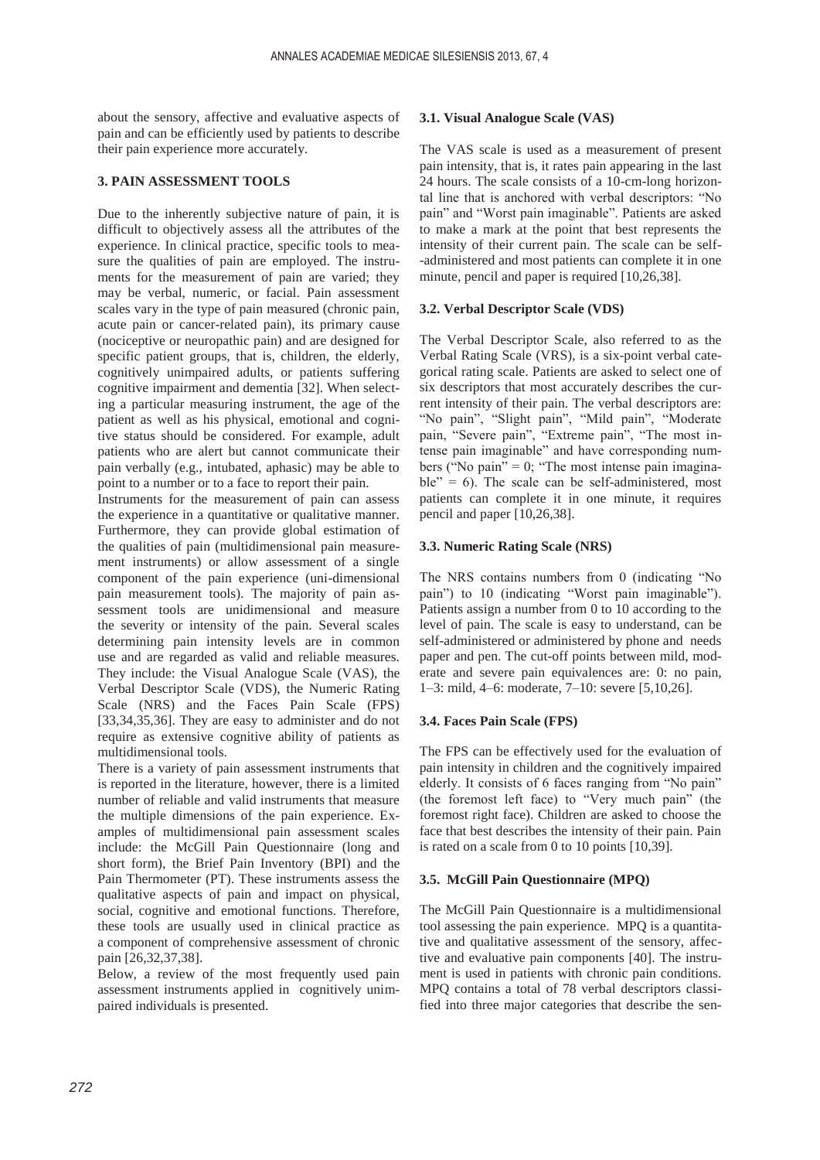about the sensory, affective and evaluative aspects of pain and can be efficiently used by patients to describe their pain experience more accurately.

# **3. PAIN ASSESSMENT TOOLS**

Due to the inherently subjective nature of pain, it is difficult to objectively assess all the attributes of the experience. In clinical practice, specific tools to measure the qualities of pain are employed. The instruments for the measurement of pain are varied; they may be verbal, numeric, or facial. Pain assessment scales vary in the type of pain measured (chronic pain, acute pain or cancer-related pain), its primary cause (nociceptive or neuropathic pain) and are designed for specific patient groups, that is, children, the elderly, cognitively unimpaired adults, or patients suffering cognitive impairment and dementia [32]. When selecting a particular measuring instrument, the age of the patient as well as his physical, emotional and cognitive status should be considered. For example, adult patients who are alert but cannot communicate their pain verbally (e.g., intubated, aphasic) may be able to point to a number or to a face to report their pain.

Instruments for the measurement of pain can assess the experience in a quantitative or qualitative manner. Furthermore, they can provide global estimation of the qualities of pain (multidimensional pain measurement instruments) or allow assessment of a single component of the pain experience (uni-dimensional pain measurement tools). The majority of pain assessment tools are unidimensional and measure the severity or intensity of the pain. Several scales determining pain intensity levels are in common use and are regarded as valid and reliable measures. They include: the Visual Analogue Scale (VAS), the Verbal Descriptor Scale (VDS), the Numeric Rating Scale (NRS) and the Faces Pain Scale (FPS) [33,34,35,36]. They are easy to administer and do not require as extensive cognitive ability of patients as multidimensional tools.

There is a variety of pain assessment instruments that is reported in the literature, however, there is a limited number of reliable and valid instruments that measure the multiple dimensions of the pain experience. Examples of multidimensional pain assessment scales include: the McGill Pain Questionnaire (long and short form), the Brief Pain Inventory (BPI) and the Pain Thermometer (PT). These instruments assess the qualitative aspects of pain and impact on physical, social, cognitive and emotional functions. Therefore, these tools are usually used in clinical practice as a component of comprehensive assessment of chronic pain [26,32,37,38].

Below, a review of the most frequently used pain assessment instruments applied in cognitively unimpaired individuals is presented.

# **3.1. Visual Analogue Scale (VAS)**

The VAS scale is used as a measurement of present pain intensity, that is, it rates pain appearing in the last 24 hours. The scale consists of a 10-cm-long horizontal line that is anchored with verbal descriptors: "No pain" and "Worst pain imaginable". Patients are asked to make a mark at the point that best represents the intensity of their current pain. The scale can be self- -administered and most patients can complete it in one minute, pencil and paper is required [10,26,38].

# **3.2. Verbal Descriptor Scale (VDS)**

The Verbal Descriptor Scale, also referred to as the Verbal Rating Scale (VRS), is a six-point verbal categorical rating scale. Patients are asked to select one of six descriptors that most accurately describes the current intensity of their pain. The verbal descriptors are: "No pain", "Slight pain", "Mild pain", "Moderate pain, "Severe pain", "Extreme pain", "The most intense pain imaginable" and have corresponding numbers ("No pain" = 0; "The most intense pain imaginable" =  $6$ ). The scale can be self-administered, most patients can complete it in one minute, it requires pencil and paper [10,26,38].

# **3.3. Numeric Rating Scale (NRS)**

The NRS contains numbers from 0 (indicating "No pain") to 10 (indicating "Worst pain imaginable"). Patients assign a number from 0 to 10 according to the level of pain. The scale is easy to understand, can be self-administered or administered by phone and needs paper and pen. The cut-off points between mild, moderate and severe pain equivalences are: 0: no pain, 1–3: mild, 4–6: moderate, 7–10: severe [5,10,26].

# **3.4. Faces Pain Scale (FPS)**

The FPS can be effectively used for the evaluation of pain intensity in children and the cognitively impaired elderly. It consists of 6 faces ranging from "No pain" (the foremost left face) to "Very much pain" (the foremost right face). Children are asked to choose the face that best describes the intensity of their pain. Pain is rated on a scale from 0 to 10 points [10,39].

# **3.5. McGill Pain Questionnaire (MPQ)**

The McGill Pain Questionnaire is a multidimensional tool assessing the pain experience. MPQ is a quantitative and qualitative assessment of the sensory, affective and evaluative pain components [40]. The instrument is used in patients with chronic pain conditions. MPQ contains a total of 78 verbal descriptors classified into three major categories that describe the sen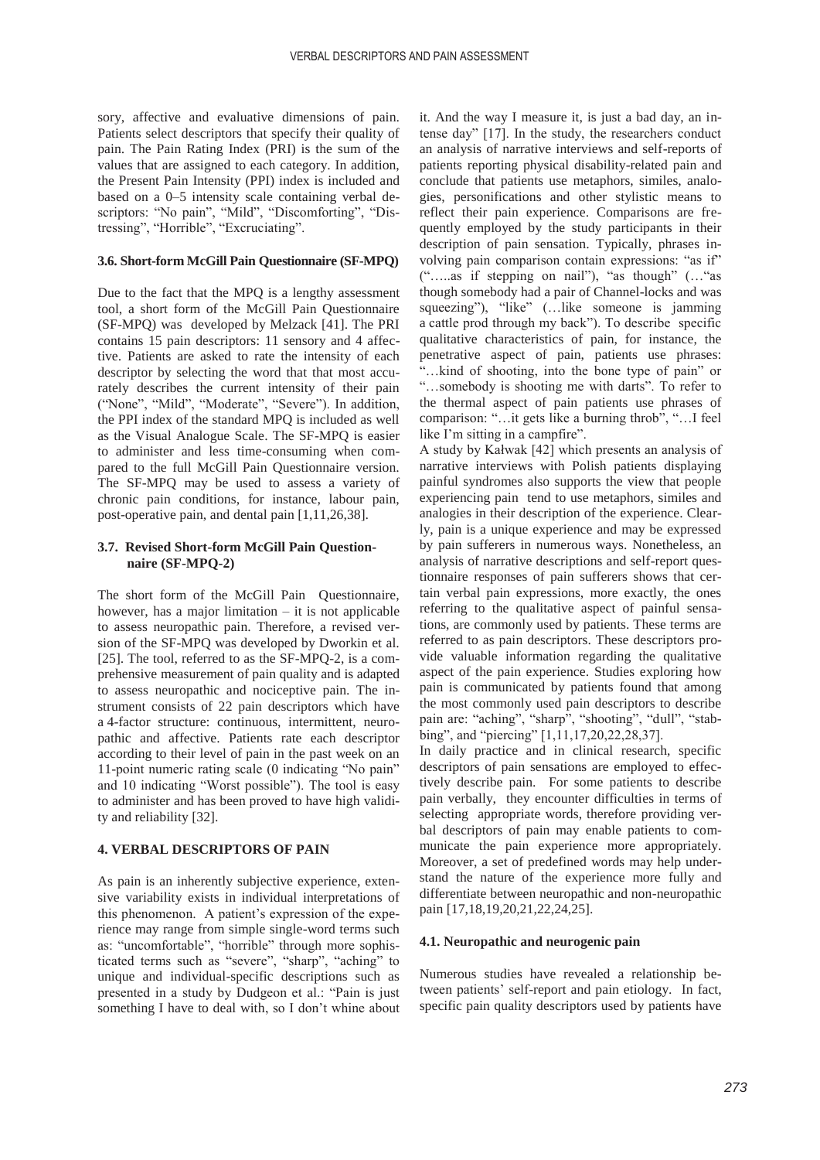sory, affective and evaluative dimensions of pain. Patients select descriptors that specify their quality of pain. The Pain Rating Index (PRI) is the sum of the values that are assigned to each category. In addition, the Present Pain Intensity (PPI) index is included and based on a 0–5 intensity scale containing verbal descriptors: "No pain", "Mild", "Discomforting", "Distressing", "Horrible", "Excruciating".

## **3.6. Short-form McGill Pain Questionnaire (SF-MPQ)**

Due to the fact that the MPQ is a lengthy assessment tool, a short form of the McGill Pain Questionnaire (SF-MPQ) was developed by Melzack [41]. The PRI contains 15 pain descriptors: 11 sensory and 4 affective. Patients are asked to rate the intensity of each descriptor by selecting the word that that most accurately describes the current intensity of their pain ("None", "Mild", "Moderate", "Severe"). In addition, the PPI index of the standard MPQ is included as well as the Visual Analogue Scale. The SF-MPQ is easier to administer and less time-consuming when compared to the full McGill Pain Questionnaire version. The SF-MPQ may be used to assess a variety of chronic pain conditions, for instance, labour pain, post-operative pain, and dental pain [1,11,26,38].

## **3.7. Revised Short-form McGill Pain Questionnaire (SF-MPQ-2)**

The short form of the McGill Pain Questionnaire, however, has a major limitation  $-$  it is not applicable to assess neuropathic pain. Therefore, a revised version of the SF-MPQ was developed by Dworkin et al. [25]. The tool, referred to as the SF-MPQ-2, is a comprehensive measurement of pain quality and is adapted to assess neuropathic and nociceptive pain. The instrument consists of 22 pain descriptors which have a 4-factor structure: continuous, intermittent, neuropathic and affective. Patients rate each descriptor according to their level of pain in the past week on an 11-point numeric rating scale (0 indicating "No pain" and 10 indicating "Worst possible"). The tool is easy to administer and has been proved to have high validity and reliability [32].

## **4. VERBAL DESCRIPTORS OF PAIN**

As pain is an inherently subjective experience, extensive variability exists in individual interpretations of this phenomenon. A patient's expression of the experience may range from simple single-word terms such as: "uncomfortable", "horrible" through more sophisticated terms such as "severe", "sharp", "aching" to unique and individual-specific descriptions such as presented in a study by Dudgeon et al.: "Pain is just something I have to deal with, so I don't whine about it. And the way I measure it, is just a bad day, an intense day" [17]. In the study, the researchers conduct an analysis of narrative interviews and self-reports of patients reporting physical disability-related pain and conclude that patients use metaphors, similes, analogies, personifications and other stylistic means to reflect their pain experience. Comparisons are frequently employed by the study participants in their description of pain sensation. Typically, phrases involving pain comparison contain expressions: "as if" ("…..as if stepping on nail"), "as though" (…"as though somebody had a pair of Channel-locks and was squeezing"), "like" (...like someone is jamming a cattle prod through my back"). To describe specific qualitative characteristics of pain, for instance, the penetrative aspect of pain, patients use phrases: "…kind of shooting, into the bone type of pain" or "…somebody is shooting me with darts". To refer to the thermal aspect of pain patients use phrases of comparison: "…it gets like a burning throb", "…I feel like I'm sitting in a campfire".

A study by Kałwak [42] which presents an analysis of narrative interviews with Polish patients displaying painful syndromes also supports the view that people experiencing pain tend to use metaphors, similes and analogies in their description of the experience. Clearly, pain is a unique experience and may be expressed by pain sufferers in numerous ways. Nonetheless, an analysis of narrative descriptions and self-report questionnaire responses of pain sufferers shows that certain verbal pain expressions, more exactly, the ones referring to the qualitative aspect of painful sensations, are commonly used by patients. These terms are referred to as pain descriptors. These descriptors provide valuable information regarding the qualitative aspect of the pain experience. Studies exploring how pain is communicated by patients found that among the most commonly used pain descriptors to describe pain are: "aching", "sharp", "shooting", "dull", "stabbing", and "piercing" [1,11,17,20,22,28,37].

In daily practice and in clinical research, specific descriptors of pain sensations are employed to effectively describe pain. For some patients to describe pain verbally, they encounter difficulties in terms of selecting appropriate words, therefore providing verbal descriptors of pain may enable patients to communicate the pain experience more appropriately. Moreover, a set of predefined words may help understand the nature of the experience more fully and differentiate between neuropathic and non-neuropathic pain [17,18,19,20,21,22,24,25].

## **4.1. Neuropathic and neurogenic pain**

Numerous studies have revealed a relationship between patients' self-report and pain etiology. In fact, specific pain quality descriptors used by patients have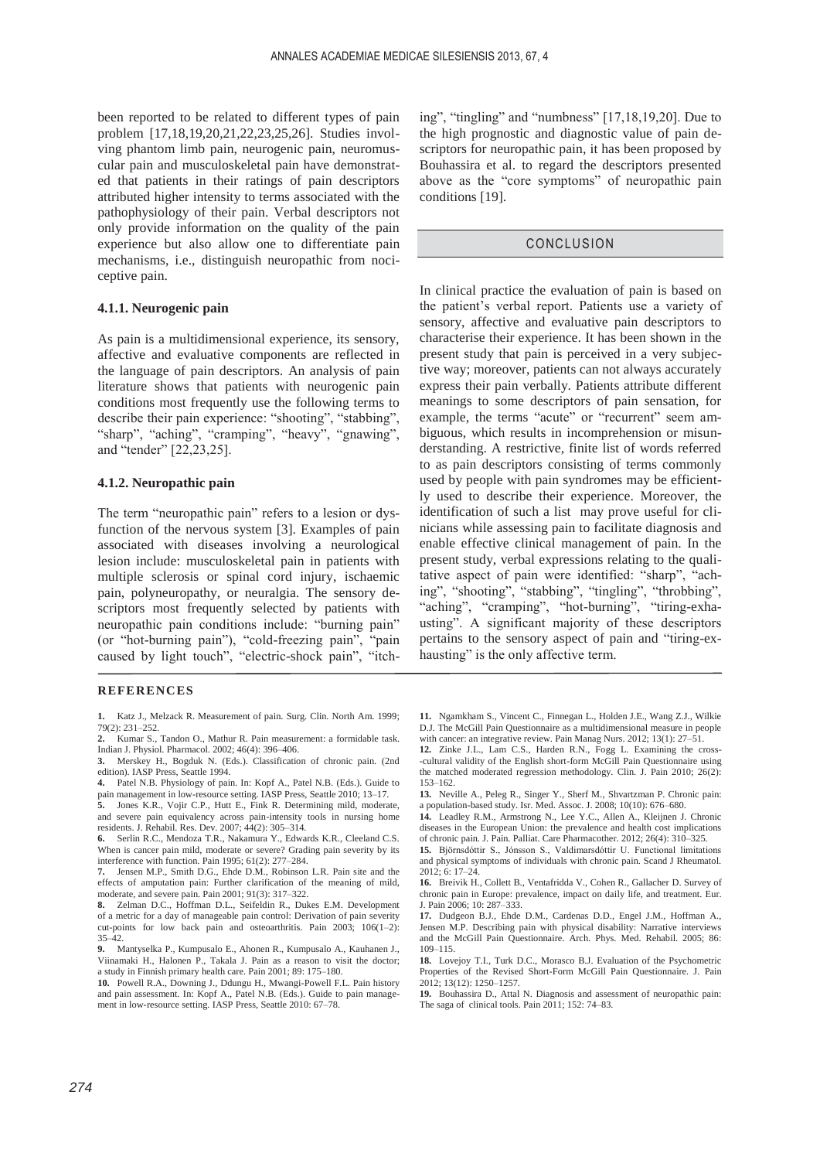been reported to be related to different types of pain problem [17,18,19,20,21,22,23,25,26]. Studies involving phantom limb pain, neurogenic pain, neuromuscular pain and musculoskeletal pain have demonstrated that patients in their ratings of pain descriptors attributed higher intensity to terms associated with the pathophysiology of their pain. Verbal descriptors not only provide information on the quality of the pain experience but also allow one to differentiate pain mechanisms, i.e., distinguish neuropathic from nociceptive pain.

## **4.1.1. Neurogenic pain**

As pain is a multidimensional experience, its sensory, affective and evaluative components are reflected in the language of pain descriptors. An analysis of pain literature shows that patients with neurogenic pain conditions most frequently use the following terms to describe their pain experience: "shooting", "stabbing", "sharp", "aching", "cramping", "heavy", "gnawing", and "tender" [22,23,25].

## **4.1.2. Neuropathic pain**

The term "neuropathic pain" refers to a lesion or dysfunction of the nervous system [3]. Examples of pain associated with diseases involving a neurological lesion include: musculoskeletal pain in patients with multiple sclerosis or spinal cord injury, ischaemic pain, polyneuropathy, or neuralgia. The sensory descriptors most frequently selected by patients with neuropathic pain conditions include: "burning pain" (or "hot-burning pain"), "cold-freezing pain", "pain caused by light touch", "electric-shock pain", "itch-

#### **REFERENCES**

**1.** Katz J., Melzack R. Measurement of pain. Surg. Clin. North Am. 1999; 79(2): 231–252.

- **2.** Kumar S., Tandon O., Mathur R. Pain measurement: a formidable task. Indian J. Physiol. Pharmacol. 2002; 46(4): 396–406.
- **3.** Merskey H., Bogduk N. (Eds.). Classification of chronic pain. (2nd edition). IASP Press, Seattle 1994.
- **4.** Patel N.B. Physiology of pain. In: Kopf A., Patel N.B. (Eds.). Guide to pain management in low-resource setting. IASP Press, Seattle 2010; 13–17.

**5.** Jones K.R., Vojir C.P., Hutt E., Fink R. Determining mild, moderate, and severe pain equivalency across pain-intensity tools in nursing home residents. J. Rehabil. Res. Dev. 2007; 44(2): 305–314.

**6.** Serlin R.C., Mendoza T.R., Nakamura Y., Edwards K.R., Cleeland C.S. When is cancer pain mild, moderate or severe? Grading pain severity by its interference with function. Pain 1995; 61(2): 277–284.

**7.** Jensen M.P., Smith D.G., Ehde D.M., Robinson L.R. Pain site and the effects of amputation pain: Further clarification of the meaning of mild, moderate, and severe pain. Pain 2001; 91(3): 317–322.

**8.** Zelman D.C., Hoffman D.L., Seifeldin R., Dukes E.M. Development of a metric for a day of manageable pain control: Derivation of pain severity cut-points for low back pain and osteoarthritis. Pain 2003; 106(1–2): 35–42.

**9.** Mantyselka P., Kumpusalo E., Ahonen R., Kumpusalo A., Kauhanen J., Viinamaki H., Halonen P., Takala J. Pain as a reason to visit the doctor; a study in Finnish primary health care. Pain 2001; 89: 175–180.

**10.** Powell R.A., Downing J., Ddungu H., Mwangi-Powell F.L. Pain history and pain assessment. In: Kopf A., Patel N.B. (Eds.). Guide to pain management in low-resource setting. IASP Press, Seattle 2010: 67–78.

ing", "tingling" and "numbness" [17,18,19,20]. Due to the high prognostic and diagnostic value of pain descriptors for neuropathic pain, it has been proposed by Bouhassira et al. to regard the descriptors presented above as the "core symptoms" of neuropathic pain conditions [19].

## CONCLUSION

In clinical practice the evaluation of pain is based on the patient's verbal report. Patients use a variety of sensory, affective and evaluative pain descriptors to characterise their experience. It has been shown in the present study that pain is perceived in a very subjective way; moreover, patients can not always accurately express their pain verbally. Patients attribute different meanings to some descriptors of pain sensation, for example, the terms "acute" or "recurrent" seem ambiguous, which results in incomprehension or misunderstanding. A restrictive, finite list of words referred to as pain descriptors consisting of terms commonly used by people with pain syndromes may be efficiently used to describe their experience. Moreover, the identification of such a list may prove useful for clinicians while assessing pain to facilitate diagnosis and enable effective clinical management of pain. In the present study, verbal expressions relating to the qualitative aspect of pain were identified: "sharp", "aching", "shooting", "stabbing", "tingling", "throbbing", "aching", "cramping", "hot-burning", "tiring-exhausting". A significant majority of these descriptors pertains to the sensory aspect of pain and "tiring-exhausting" is the only affective term.

**11.** Ngamkham S., Vincent C., Finnegan L., Holden J.E., Wang Z.J., Wilkie D.J. The McGill Pain Questionnaire as a multidimensional measure in people with cancer: an integrative review. Pain Manag Nurs. 2012; 13(1): 27–5

**12.** Zinke J.L., Lam C.S., Harden R.N., Fogg L. Examining the cross- -cultural validity of the English short-form McGill Pain Questionnaire using the matched moderated regression methodology. Clin. J. Pain 2010; 26(2): 153–162.

**13.** Neville A., Peleg R., Singer Y., Sherf M., Shvartzman P. Chronic pain: a population-based study. Isr. Med. Assoc. J. 2008; 10(10): 676–680.

**14.** Leadley R.M., Armstrong N., Lee Y.C., Allen A., Kleijnen J. Chronic diseases in the European Union: the prevalence and health cost implications of chronic pain. J. Pain. Palliat. Care Pharmacother. 2012; 26(4): 310–325.

**15.** Björnsdóttir S., Jónsson S., Valdimarsdóttir U. Functional limitations and physical symptoms of individuals with chronic pain. Scand J Rheumatol.  $2012.6:17-24$ 

**16.** Breivik H., Collett B., Ventafridda V., Cohen R., Gallacher D. Survey of chronic pain in Europe: prevalence, impact on daily life, and treatment. Eur. J. Pain 2006; 10: 287–333.

**17.** Dudgeon B.J., Ehde D.M., Cardenas D.D., Engel J.M., Hoffman A., Jensen M.P. Describing pain with physical disability: Narrative interviews and the McGill Pain Questionnaire. Arch. Phys. Med. Rehabil. 2005; 86: 109–115.

**18.** Lovejoy T.I., Turk D.C., Morasco B.J. Evaluation of the Psychometric Properties of the Revised Short-Form McGill Pain Questionnaire. J. Pain 2012; 13(12): 1250–1257.

**19.** Bouhassira D., Attal N. Diagnosis and assessment of neuropathic pain: The saga of clinical tools. Pain 2011; 152: 74–83.